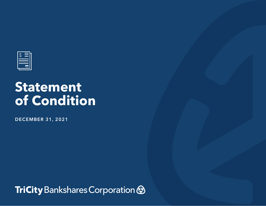

## **Statement of Condition**

**DECEMBER 31, 2021**

TriCity Bankshares Corporation &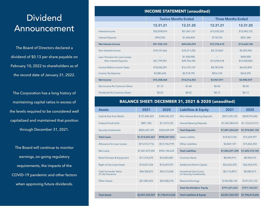## Dividend Announcement

The Board of Directors declared a dividend of \$0.13 per share payable on February 10, 2022 to shareholders as of the record date of January 31, 2022.

The Corporation has a long history of maintaining capital ratios in excess of the levels required to be considered well capitalized and maintained that position through December 31, 2021.

The Board will continue to monitor earnings, on-going regulatory requirements, the impacts of the COVID-19 pandemic and other factors when approving future dividends.

| <b>INCOME STATEMENT (unaudited)</b>                     |                            |                             |                           |                           |  |  |  |  |
|---------------------------------------------------------|----------------------------|-----------------------------|---------------------------|---------------------------|--|--|--|--|
|                                                         | <b>Twelve Months Ended</b> |                             | <b>Three Months Ended</b> |                           |  |  |  |  |
|                                                         | 12.31.21                   | 12.31.20                    | 12.31.21                  | 12.31.20                  |  |  |  |  |
| Interest Income                                         | \$52,878,074               | \$51,067,127                | \$13,933,352              | \$12,942,152              |  |  |  |  |
| <b>Interest Expense</b>                                 | \$943,952                  | \$1,446,834                 | \$178,742                 | \$281,384                 |  |  |  |  |
| <b>Net Interest Income</b>                              | \$51,934,122               | \$49,620,293                | \$13,754,610              | \$12,660,768              |  |  |  |  |
| Non-Interest Income                                     | \$18,107,666               | \$18,371,250                | \$4,123,862               | \$5,493,942               |  |  |  |  |
| Less: Provision for Loan Losses<br>Non-Interest Expense | \$51,799,581               | \$1,500,000<br>\$49,756,396 | \$13,094,518              | \$600,000<br>\$12,920,856 |  |  |  |  |
| Income Before Income Taxes                              | \$18,242,207               | \$16,735,147                | \$4,783,954               | \$4,633,854               |  |  |  |  |
| Income Tax Expense                                      | \$2,883,643                | \$2,518,795                 | \$816,143                 | \$653,295                 |  |  |  |  |
| <b>Net Income</b>                                       | \$15,358,564               | \$14,216,352                | \$3,967,811               | \$3,980,559               |  |  |  |  |
| Net Income Per Common Share                             | \$1.72                     | \$1.60                      | \$0.45                    | \$0.45                    |  |  |  |  |
| Dividends Per Common Share                              | \$0.52                     | \$0.52                      | \$0.13                    | \$0.13                    |  |  |  |  |

## **BALANCE SHEET: DECEMBER 31, 2021 & 2020 (unaudited)**

| <b>Assets</b>                             | 2021            | 2020            | <b>Liabilities &amp; Equity</b>                          | 2021            | 2020            |
|-------------------------------------------|-----------------|-----------------|----------------------------------------------------------|-----------------|-----------------|
| Cash & Due from Banks                     | \$137,444,324   | \$184,345,327   | <b>Non-Interest Bearing Deposits</b>                     | \$501,670,155   | \$420,974,242   |
| <b>Federal Funds Sold</b>                 | \$891,783       | \$11,019,722    | <b>Interest Bearing Deposits</b>                         | \$1,345,584,476 | \$1,153,612,912 |
| <b>Security Investments</b>               | \$820,639,129   | \$558,509,399   | <b>Total Deposits</b>                                    | \$1,847,254,631 | \$1,574,587,154 |
| <b>Total Loans</b>                        | \$1,014,652,367 | \$958,247,553   | Lease Liability                                          | \$14,567,534    | \$15,659,597    |
| Allowance for Loan Losses                 | (\$13,572,773)  | (\$13,106,919)  | <b>Other Liabilities</b>                                 | \$3,869,129     | \$15,063,354    |
| Net Loans                                 | \$1,001,079,594 | \$945,140,634   | <b>Total Liabilities</b>                                 | \$1,865,691,294 | \$1,605,310,105 |
| <b>Bank Premises &amp; Equipment</b>      | \$17,314,670    | \$16,026,081    | Common Stock                                             | \$8,904,915     | \$8,904,915     |
| <b>Right of Use Lease Asset</b>           | \$14,567,534    | \$15,659,597    | <b>Additional Paid-In Capital</b>                        | \$26,543,470    | \$26,543,470    |
| Cash Surrender Value<br>of Life Insurance | \$44,300,870    | \$43,312,658    | <b>Unrealized Gain (Loss)</b><br>on Security Investments | ( \$2,116,897)  | \$8,083,013     |
| Other Assets                              | \$21,085,023    | \$22,400,218    | <b>Retained Earnings</b>                                 | \$158,300,145   | \$147,572,133   |
|                                           |                 |                 | <b>Total Stockholders' Equity</b>                        | \$191,631,633   | \$191,103,531   |
| <b>Total Assets</b>                       | \$2,057,322,927 | \$1,796,413,636 | <b>Total Liabilities &amp; Equity</b>                    | \$2,057,322,927 | \$1,796,413,636 |